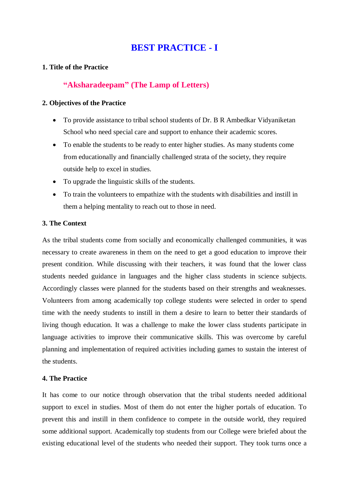# **BEST PRACTICE - I**

## **1. Title of the Practice**

# **"Aksharadeepam" (The Lamp of Letters)**

#### **2. Objectives of the Practice**

- To provide assistance to tribal school students of Dr. B R Ambedkar Vidyaniketan School who need special care and support to enhance their academic scores.
- To enable the students to be ready to enter higher studies. As many students come from educationally and financially challenged strata of the society, they require outside help to excel in studies.
- To upgrade the linguistic skills of the students.
- To train the volunteers to empathize with the students with disabilities and instill in them a helping mentality to reach out to those in need.

## **3. The Context**

As the tribal students come from socially and economically challenged communities, it was necessary to create awareness in them on the need to get a good education to improve their present condition. While discussing with their teachers, it was found that the lower class students needed guidance in languages and the higher class students in science subjects. Accordingly classes were planned for the students based on their strengths and weaknesses. Volunteers from among academically top college students were selected in order to spend time with the needy students to instill in them a desire to learn to better their standards of living though education. It was a challenge to make the lower class students participate in language activities to improve their communicative skills. This was overcome by careful planning and implementation of required activities including games to sustain the interest of the students.

#### **4. The Practice**

It has come to our notice through observation that the tribal students needed additional support to excel in studies. Most of them do not enter the higher portals of education. To prevent this and instill in them confidence to compete in the outside world, they required some additional support. Academically top students from our College were briefed about the existing educational level of the students who needed their support. They took turns once a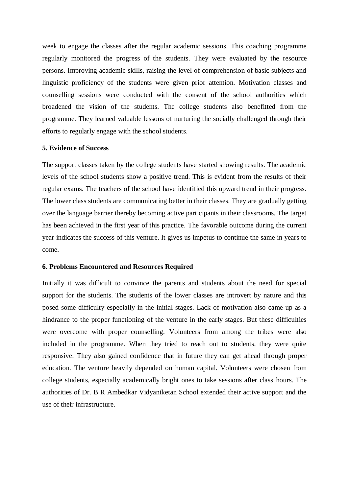week to engage the classes after the regular academic sessions. This coaching programme regularly monitored the progress of the students. They were evaluated by the resource persons. Improving academic skills, raising the level of comprehension of basic subjects and linguistic proficiency of the students were given prior attention. Motivation classes and counselling sessions were conducted with the consent of the school authorities which broadened the vision of the students. The college students also benefitted from the programme. They learned valuable lessons of nurturing the socially challenged through their efforts to regularly engage with the school students.

#### **5. Evidence of Success**

The support classes taken by the college students have started showing results. The academic levels of the school students show a positive trend. This is evident from the results of their regular exams. The teachers of the school have identified this upward trend in their progress. The lower class students are communicating better in their classes. They are gradually getting over the language barrier thereby becoming active participants in their classrooms. The target has been achieved in the first year of this practice. The favorable outcome during the current year indicates the success of this venture. It gives us impetus to continue the same in years to come.

#### **6. Problems Encountered and Resources Required**

Initially it was difficult to convince the parents and students about the need for special support for the students. The students of the lower classes are introvert by nature and this posed some difficulty especially in the initial stages. Lack of motivation also came up as a hindrance to the proper functioning of the venture in the early stages. But these difficulties were overcome with proper counselling. Volunteers from among the tribes were also included in the programme. When they tried to reach out to students, they were quite responsive. They also gained confidence that in future they can get ahead through proper education. The venture heavily depended on human capital. Volunteers were chosen from college students, especially academically bright ones to take sessions after class hours. The authorities of Dr. B R Ambedkar Vidyaniketan School extended their active support and the use of their infrastructure.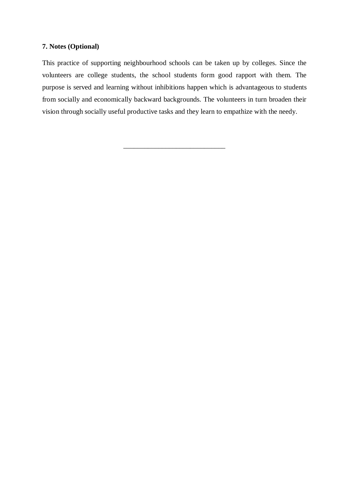## **7. Notes (Optional)**

This practice of supporting neighbourhood schools can be taken up by colleges. Since the volunteers are college students, the school students form good rapport with them. The purpose is served and learning without inhibitions happen which is advantageous to students from socially and economically backward backgrounds. The volunteers in turn broaden their vision through socially useful productive tasks and they learn to empathize with the needy.

\_\_\_\_\_\_\_\_\_\_\_\_\_\_\_\_\_\_\_\_\_\_\_\_\_\_\_\_\_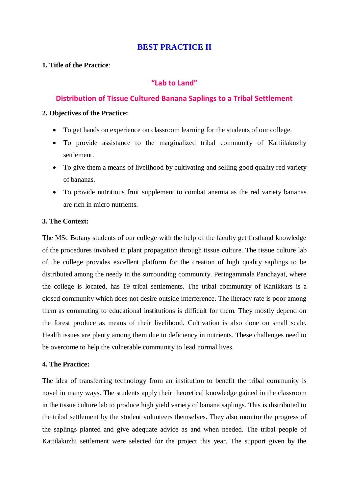# **BEST PRACTICE II**

## **1. Title of the Practice**:

# **"Lab to Land"**

# **Distribution of Tissue Cultured Banana Saplings to a Tribal Settlement**

#### **2. Objectives of the Practice:**

- To get hands on experience on classroom learning for the students of our college.
- To provide assistance to the marginalized tribal community of Kattiilakuzhy settlement.
- To give them a means of livelihood by cultivating and selling good quality red variety of bananas.
- To provide nutritious fruit supplement to combat anemia as the red variety bananas are rich in micro nutrients.

## **3. The Context:**

The MSc Botany students of our college with the help of the faculty get firsthand knowledge of the procedures involved in plant propagation through tissue culture. The tissue culture lab of the college provides excellent platform for the creation of high quality saplings to be distributed among the needy in the surrounding community. Peringammala Panchayat, where the college is located, has 19 tribal settlements. The tribal community of Kanikkars is a closed community which does not desire outside interference. The literacy rate is poor among them as commuting to educational institutions is difficult for them. They mostly depend on the forest produce as means of their livelihood. Cultivation is also done on small scale. Health issues are plenty among them due to deficiency in nutrients. These challenges need to be overcome to help the vulnerable community to lead normal lives.

## **4. The Practice:**

The idea of transferring technology from an institution to benefit the tribal community is novel in many ways. The students apply their theoretical knowledge gained in the classroom in the tissue culture lab to produce high yield variety of banana saplings. This is distributed to the tribal settlement by the student volunteers themselves. They also monitor the progress of the saplings planted and give adequate advice as and when needed. The tribal people of Kattilakuzhi settlement were selected for the project this year. The support given by the